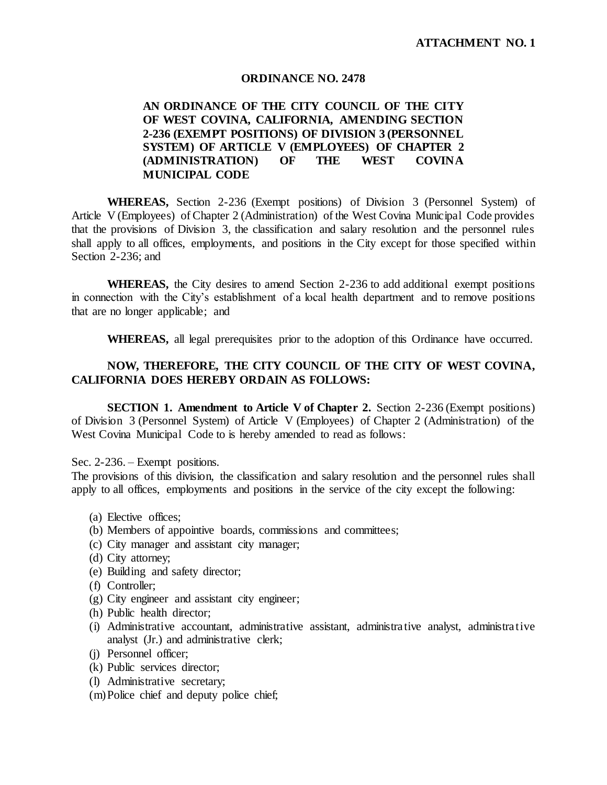#### **ORDINANCE NO. 2478**

# **AN ORDINANCE OF THE CITY COUNCIL OF THE CITY OF WEST COVINA, CALIFORNIA, AMENDING SECTION 2-236 (EXEMPT POSITIONS) OF DIVISION 3 (PERSONNEL SYSTEM) OF ARTICLE V (EMPLOYEES) OF CHAPTER 2 (ADMINISTRATION) OF THE WEST COVINA MUNICIPAL CODE**

**WHEREAS,** Section 2-236 (Exempt positions) of Division 3 (Personnel System) of Article V (Employees) of Chapter 2 (Administration) of the West Covina Municipal Code provides that the provisions of Division 3, the classification and salary resolution and the personnel rules shall apply to all offices, employments, and positions in the City except for those specified within Section 2-236; and

**WHEREAS,** the City desires to amend Section 2-236 to add additional exempt positions in connection with the City's establishment of a local health department and to remove positions that are no longer applicable; and

**WHEREAS,** all legal prerequisites prior to the adoption of this Ordinance have occurred.

# **NOW, THEREFORE, THE CITY COUNCIL OF THE CITY OF WEST COVINA, CALIFORNIA DOES HEREBY ORDAIN AS FOLLOWS:**

**SECTION 1. Amendment to Article V of Chapter 2.** Section 2-236 (Exempt positions) of Division 3 (Personnel System) of Article V (Employees) of Chapter 2 (Administration) of the West Covina Municipal Code to is hereby amended to read as follows:

Sec. 2-236. – Exempt positions.

The provisions of this division, the classification and salary resolution and the personnel rules shall apply to all offices, employments and positions in the service of the city except the following:

- (a) Elective offices;
- (b) Members of appointive boards, commissions and committees;
- (c) City manager and assistant city manager;
- (d) City attorney;
- (e) Building and safety director;
- (f) Controller;
- (g) City engineer and assistant city engineer;
- (h) Public health director;
- (i) Administrative accountant, administrative assistant, administrative analyst, administrative analyst (Jr.) and administrative clerk;
- (j) Personnel officer;
- (k) Public services director;
- (l) Administrative secretary;
- (m)Police chief and deputy police chief;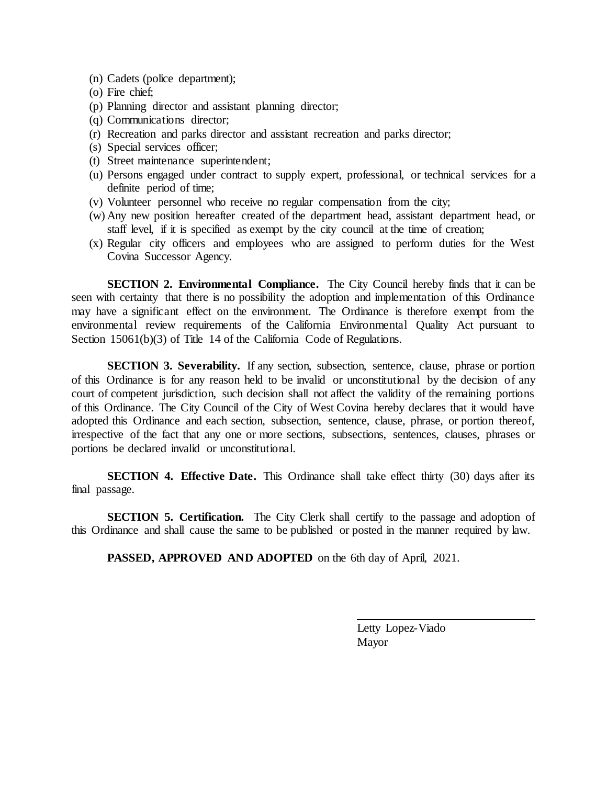- (n) Cadets (police department);
- (o) Fire chief;
- (p) Planning director and assistant planning director;
- (q) Communications director;
- (r) Recreation and parks director and assistant recreation and parks director;
- (s) Special services officer;
- (t) Street maintenance superintendent;
- (u) Persons engaged under contract to supply expert, professional, or technical services for a definite period of time;
- (v) Volunteer personnel who receive no regular compensation from the city;
- (w) Any new position hereafter created of the department head, assistant department head, or staff level, if it is specified as exempt by the city council at the time of creation;
- (x) Regular city officers and employees who are assigned to perform duties for the West Covina Successor Agency.

**SECTION 2. Environmental Compliance.** The City Council hereby finds that it can be seen with certainty that there is no possibility the adoption and implementation of this Ordinance may have a significant effect on the environment. The Ordinance is therefore exempt from the environmental review requirements of the California Environmental Quality Act pursuant to Section 15061(b)(3) of Title 14 of the California Code of Regulations.

**SECTION 3. Severability.** If any section, subsection, sentence, clause, phrase or portion of this Ordinance is for any reason held to be invalid or unconstitutional by the decision of any court of competent jurisdiction, such decision shall not affect the validity of the remaining portions of this Ordinance. The City Council of the City of West Covina hereby declares that it would have adopted this Ordinance and each section, subsection, sentence, clause, phrase, or portion thereof, irrespective of the fact that any one or more sections, subsections, sentences, clauses, phrases or portions be declared invalid or unconstitutional.

**SECTION 4. Effective Date.** This Ordinance shall take effect thirty (30) days after its final passage.

**SECTION 5. Certification.** The City Clerk shall certify to the passage and adoption of this Ordinance and shall cause the same to be published or posted in the manner required by law.

**PASSED, APPROVED AND ADOPTED** on the 6th day of April, 2021.

Letty Lopez-Viado Mayor